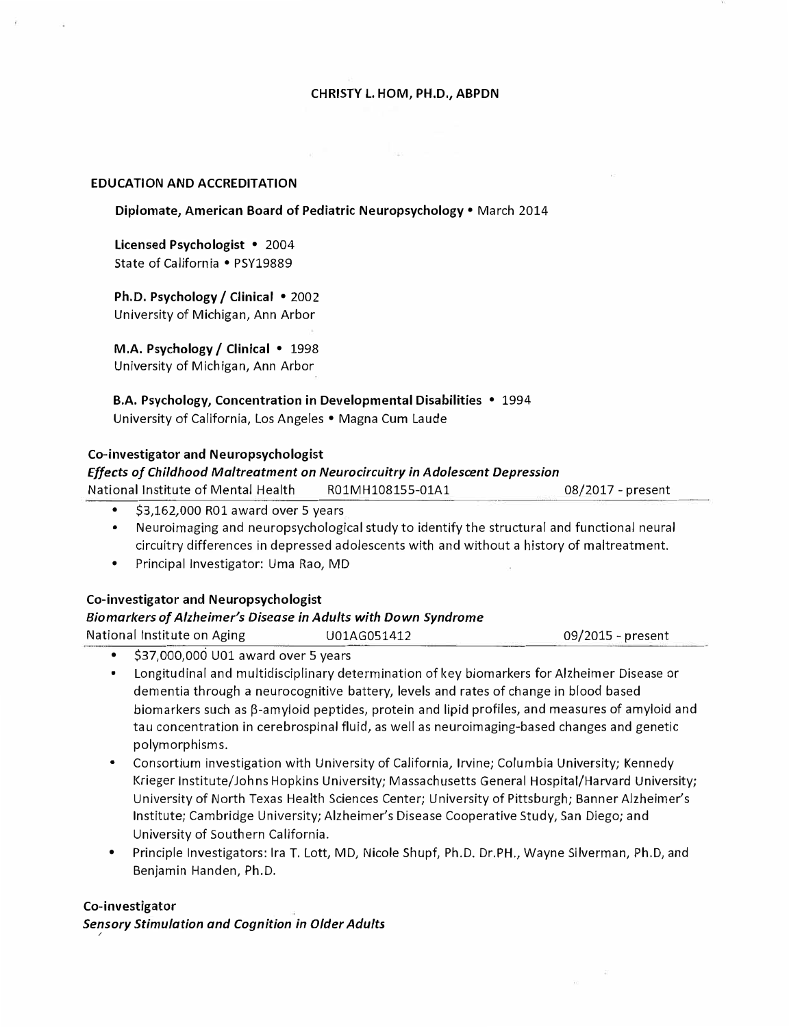#### **CHRISTY** L. **HOM, PH.D., ABPDN**

#### **EDUCATION AND ACCREDITATION**

#### **Diplomate, American Board of Pediatric Neuropsychology** • March 2014

**Licensed Psychologist** • 2004 State of California • PSY19889

**Ph.D. Psychology/ Clinical** • 2002 University of Michigan, Ann Arbor

**M.A. Psychology/ Clinical** • 1998 University of Michigan, Ann Arbor

**B.A. Psychology, Concentration in Developmental Disabilities** • 1994 University of California, Los Angeles • Magna Cum Laude

#### **Co-investigator and Neuropsychologist**

#### *Effects of Childhood Maltreatment on Neurocircuitry in Adolescent Depression*

| <b>National Institute of Mental Health</b> | R01MH108155-01A1 | $08/2017$ - present |
|--------------------------------------------|------------------|---------------------|
|                                            |                  |                     |

- •\$3,162,000 ROl award over 5 years
- • Neuroimaging and neuropsychological study to identify the structural and functional neural circuitry differences in depressed adolescents with and without a history of maltreatment.
- •Principal Investigator: Uma Rao, MD

#### **Co-investigator and Neuropsychologist**

#### *Bio markers of Alzheimer's Disease in Adults with Down Syndrome*

| National Institute on Aging | U01AG051412 | 09/2015 - present |
|-----------------------------|-------------|-------------------|
| $\overline{a}$              |             |                   |

•\$37,000,000 UOl award over 5 years

- • Longitudinal and multidisciplinary determination of key biomarkers for Alzheimer Disease or dementia through a neurocognitive battery, levels and rates of change in blood based biomarkers such as  $\beta$ -amyloid peptides, protein and lipid profiles, and measures of amyloid and tau concentration in cerebrospinal fluid, as well as neuroimaging-based changes and genetic polymorphisms.
- • Consortium investigation with University of California, Irvine; Columbia University; Kennedy Krieger Institute/Johns Hopkins University; Massachusetts General Hospital/Harvard University; University of North Texas Health Sciences Center; University of Pittsburgh; Banner Alzheimer's Institute; Cambridge University; Alzheimer's Disease Cooperative Study, San Diego; and University of Southern California.
- • Principle Investigators: Ira T. Lott, MD, Nicole Shupf, Ph.D. Dr.PH., Wayne Silverman, Ph.D, and Benjamin Handen, Ph.D.

#### **Co-investigator**

*Sensory Stimulation and Cognition in Older Adults*  ,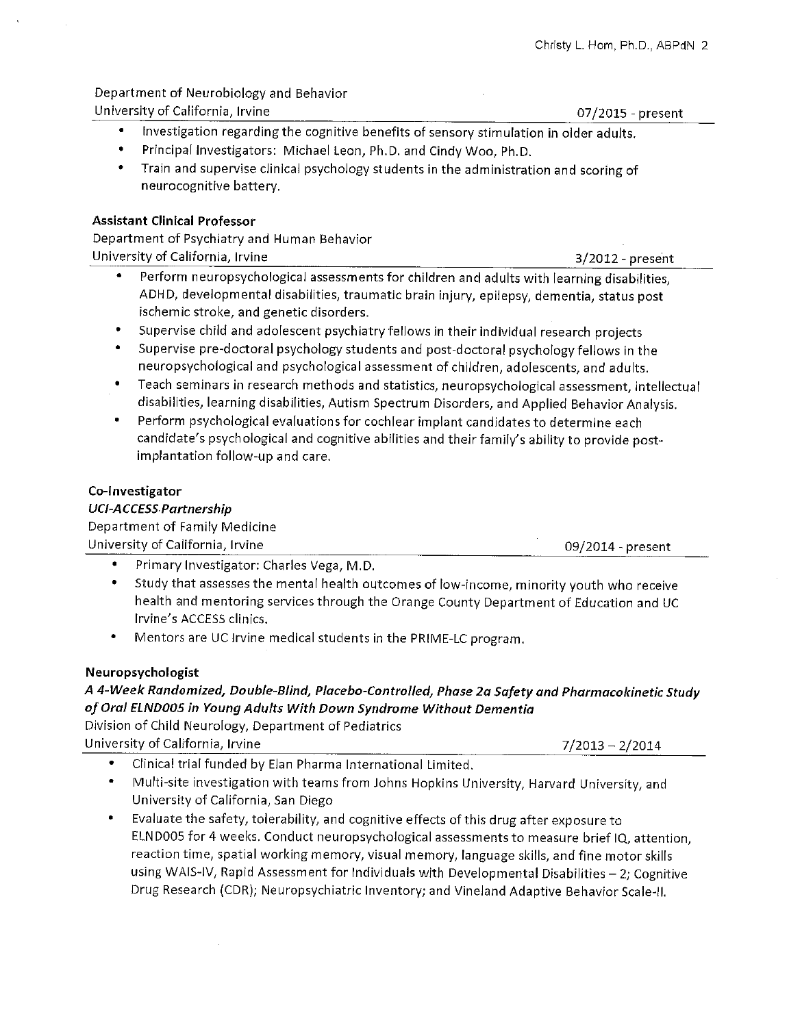#### Department of Neurobiology and Behavior University of California, Irvine

07/2015 - present

- $\bullet$  . Investigation regarding the cognitive benefits of sensory stimulation in older adults.
- Principal Investigators: Michael Leon, Ph.D. and Cindy Woo, Ph.D.
- Train and supervise clinical psychology students in the administration and scoring of neurocognitive battery.

## **Assistant Clinical Professor**

Department of Psychiatry and Human Behavior University of California, Irvine

- Perform neuropsychological assessments for children and adults with learning disabilities, ADHD, developmental disabilities, traumatic brain injury, epilepsy, dementia, status post ischemic stroke, and genetic disorders.
- Supervise child and adolescent psychiatry fellows in their individual research projects
- Supervise pre-doctoral psychology students and post-doctoral psychology fellows in the neuropsychological and psychological assessment of children, adolescents, and adults.
- Teach seminars in research methods and statistics, neuropsychological assessment, intellectual disabilities, learning disabilities, Autism Spectrum Disorders, and Applied Behavior Analysis.
- Perform psychological evaluations for cochlear implant candidates to determine each candidate's psychological and cognitive abilities and their family's ability to provide postimplantation follow-up and care.

## Co-Investigator

# **UCI-ACCESS Partnership**

Department of Family Medicine University of California, Irvine

09/2014 - present

- Primary Investigator: Charles Vega, M.D.
- Study that assesses the mental health outcomes of low-income, minority youth who receive health and mentoring services through the Orange County Department of Education and UC Irvine's ACCESS clinics.
- ۰ Mentors are UC Irvine medical students in the PRIME-LC program.

# Neuropsychologist

# A 4-Week Randomized, Double-Blind, Placebo-Controlled, Phase 2a Safety and Pharmacokinetic Study of Oral ELND005 in Young Adults With Down Syndrome Without Dementia

Division of Child Neurology, Department of Pediatrics University of California, Irvine

 $7/2013 - 2/2014$ 

- Clinical trial funded by Elan Pharma International Limited.
- Multi-site investigation with teams from Johns Hopkins University, Harvard University, and University of California, San Diego
- Evaluate the safety, tolerability, and cognitive effects of this drug after exposure to ELND005 for 4 weeks. Conduct neuropsychological assessments to measure brief IQ, attention, reaction time, spatial working memory, visual memory, language skills, and fine motor skills using WAIS-IV, Rapid Assessment for Individuals with Developmental Disabilities - 2; Cognitive Drug Research (CDR); Neuropsychiatric Inventory; and Vineland Adaptive Behavior Scale-II.

 $3/2012$  - present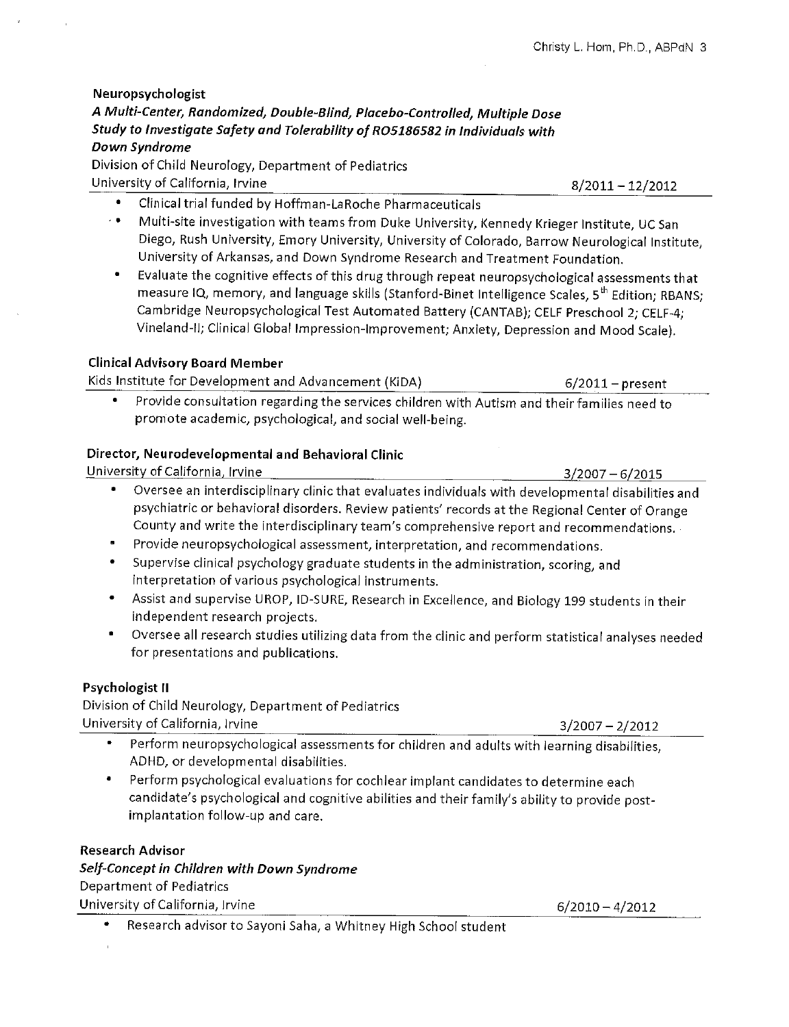$8/2011 - 12/2012$ 

Neuropsychologist A Multi-Center, Randomized, Double-Blind, Placebo-Controlled, Multiple Dose Study to Investigate Safety and Tolerability of RO5186582 in Individuals with Down Syndrome

Division of Child Neurology, Department of Pediatrics University of California, Irvine

- $\bullet$ Clinical trial funded by Hoffman-LaRoche Pharmaceuticals
- Multi-site investigation with teams from Duke University, Kennedy Krieger Institute, UC San  $\epsilon \in \mathbb{R}^n$ Diego, Rush University, Emory University, University of Colorado, Barrow Neurological Institute, University of Arkansas, and Down Syndrome Research and Treatment Foundation.
- Evaluate the cognitive effects of this drug through repeat neuropsychological assessments that measure IQ, memory, and language skills (Stanford-Binet Intelligence Scales, 5<sup>th</sup> Edition; RBANS; Cambridge Neuropsychological Test Automated Battery (CANTAB); CELF Preschool 2; CELF-4; Vineland-II; Clinical Global Impression-Improvement; Anxiety, Depression and Mood Scale).

# **Clinical Advisory Board Member**

Kids Institute for Development and Advancement (KiDA)

Provide consultation regarding the services children with Autism and their families need to promote academic, psychological, and social well-being.

# Director, Neurodevelopmental and Behavioral Clinic

University of California, Irvine  $3/2007 - 6/2015$ Oversee an interdisciplinary clinic that evaluates individuals with developmental disabilities and  $\bullet$ psychiatric or behavioral disorders. Review patients' records at the Regional Center of Orange County and write the interdisciplinary team's comprehensive report and recommendations.

- Provide neuropsychological assessment, interpretation, and recommendations.
- Supervise clinical psychology graduate students in the administration, scoring, and interpretation of various psychological instruments.
- Assist and supervise UROP, ID-SURE, Research in Excellence, and Biology 199 students in their independent research projects.
- Oversee all research studies utilizing data from the clinic and perform statistical analyses needed for presentations and publications.

# Psychologist II

Division of Child Neurology, Department of Pediatrics University of California, Irvine

- Perform neuropsychological assessments for children and adults with learning disabilities. ADHD, or developmental disabilities.
- Perform psychological evaluations for cochlear implant candidates to determine each candidate's psychological and cognitive abilities and their family's ability to provide postimplantation follow-up and care.

# **Research Advisor**

# Self-Concept in Children with Down Syndrome Department of Pediatrics University of California, Irvine

Research advisor to Sayoni Saha, a Whitney High School student

 $6/2010 - 4/2012$ 

 $3/2007 - 2/2012$ 

 $6/2011$  – present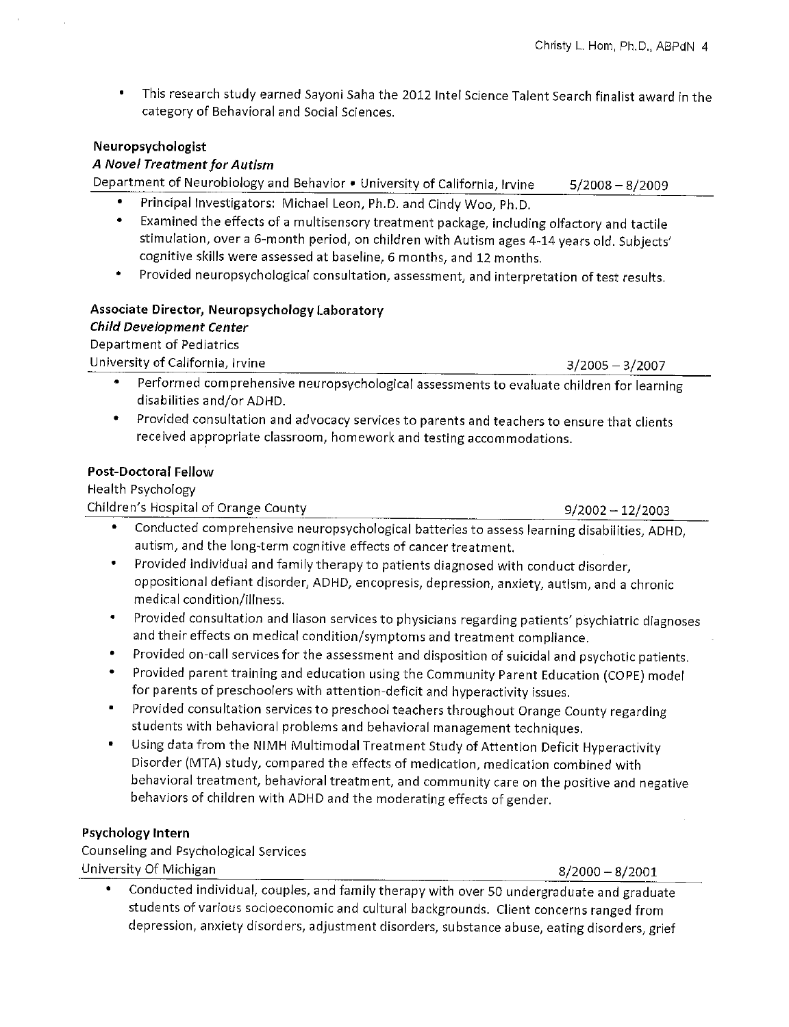This research study earned Sayoni Saha the 2012 Intel Science Talent Search finalist award in the  $\bullet$ category of Behavioral and Social Sciences.

## Neuropsychologist

## A Novel Treatment for Autism

Department of Neurobiology and Behavior . University of California, Irvine  $5/2008 - 8/2009$ 

- Principal Investigators: Michael Leon, Ph.D. and Cindy Woo, Ph.D.
- Examined the effects of a multisensory treatment package, including olfactory and tactile stimulation, over a 6-month period, on children with Autism ages 4-14 years old. Subjects' cognitive skills were assessed at baseline, 6 months, and 12 months.
- Provided neuropsychological consultation, assessment, and interpretation of test results.

# Associate Director, Neuropsychology Laboratory

**Child Development Center** 

Department of Pediatrics

University of California, Irvine

 $3/2005 - 3/2007$ 

- Performed comprehensive neuropsychological assessments to evaluate children for learning disabilities and/or ADHD.
- Provided consultation and advocacy services to parents and teachers to ensure that clients received appropriate classroom, homework and testing accommodations.

## **Post-Doctoral Fellow**

Health Psychology

Children's Hospital of Orange County

 $9/2002 - 12/2003$ 

- Conducted comprehensive neuropsychological batteries to assess learning disabilities, ADHD, autism, and the long-term cognitive effects of cancer treatment.
- Provided individual and family therapy to patients diagnosed with conduct disorder,  $\bullet$ oppositional defiant disorder, ADHD, encopresis, depression, anxiety, autism, and a chronic medical condition/illness.
- Provided consultation and liason services to physicians regarding patients' psychiatric diagnoses and their effects on medical condition/symptoms and treatment compliance.
- Provided on-call services for the assessment and disposition of suicidal and psychotic patients.
- Provided parent training and education using the Community Parent Education (COPE) model for parents of preschoolers with attention-deficit and hyperactivity issues.
- Provided consultation services to preschool teachers throughout Orange County regarding students with behavioral problems and behavioral management techniques.
- Using data from the NIMH Multimodal Treatment Study of Attention Deficit Hyperactivity Disorder (MTA) study, compared the effects of medication, medication combined with behavioral treatment, behavioral treatment, and community care on the positive and negative behaviors of children with ADHD and the moderating effects of gender.

# Psychology Intern

Counseling and Psychological Services University Of Michigan

 $8/2000 - 8/2001$ 

Conducted individual, couples, and family therapy with over 50 undergraduate and graduate students of various socioeconomic and cultural backgrounds. Client concerns ranged from depression, anxiety disorders, adjustment disorders, substance abuse, eating disorders, grief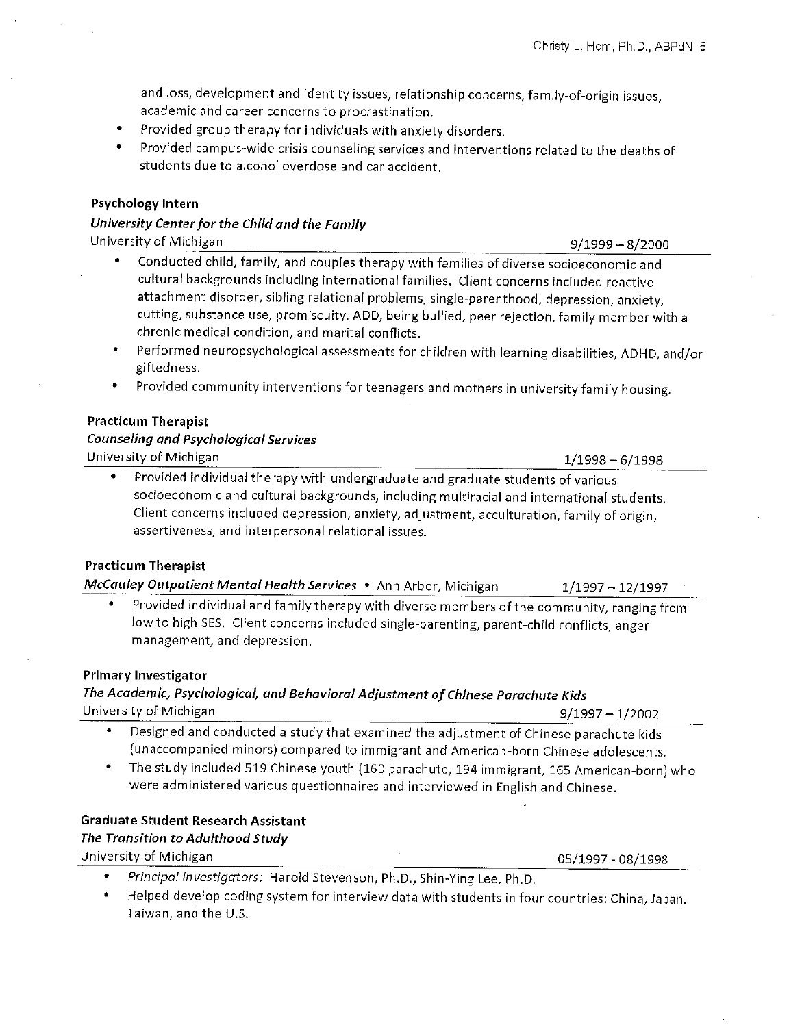and loss, development and identity issues, relationship concerns, family-of-origin issues, academic and career concerns to procrastination.

- Provided group therapy for individuals with anxiety disorders.
- Provided campus-wide crisis counseling services and interventions related to the deaths of students due to alcohol overdose and car accident.

#### Psychology Intern

# University Center for the Child and the Family

University of Michigan

- Conducted child, family, and couples therapy with families of diverse socioeconomic and cultural backgrounds including international families. Client concerns included reactive attachment disorder, sibling relational problems, single-parenthood, depression, anxiety, cutting, substance use, promiscuity, ADD, being bullied, peer rejection, family member with a chronic medical condition, and marital conflicts.
- Performed neuropsychological assessments for children with learning disabilities, ADHD, and/or giftedness.
- Provided community interventions for teenagers and mothers in university family housing.

#### **Practicum Therapist**

#### **Counseling and Psychological Services**

University of Michigan

Provided individual therapy with undergraduate and graduate students of various socioeconomic and cultural backgrounds, including multiracial and international students. Client concerns included depression, anxiety, adjustment, acculturation, family of origin, assertiveness, and interpersonal relational issues.

#### **Practicum Therapist**

McCauley Outpatient Mental Health Services . Ann Arbor, Michigan

Provided individual and family therapy with diverse members of the community, ranging from low to high SES. Client concerns included single-parenting, parent-child conflicts, anger management, and depression.

#### **Primary Investigator**

## The Academic, Psychological, and Behavioral Adjustment of Chinese Parachute Kids  $9/1997 - 1/2002$

University of Michigan

- Designed and conducted a study that examined the adjustment of Chinese parachute kids (unaccompanied minors) compared to immigrant and American-born Chinese adolescents.
- The study included 519 Chinese youth (160 parachute, 194 immigrant, 165 American-born) who were administered various questionnaires and interviewed in English and Chinese.

#### **Graduate Student Research Assistant**

#### The Transition to Adulthood Study

University of Michigan

- 05/1997 08/1998
- Principal Investigators: Harold Stevenson, Ph.D., Shin-Ying Lee, Ph.D.
- Helped develop coding system for interview data with students in four countries: China, Japan, Taiwan, and the U.S.

 $1/1998 - 6/1998$ 

 $1/1997 - 12/1997$ 

 $9/1999 - 8/2000$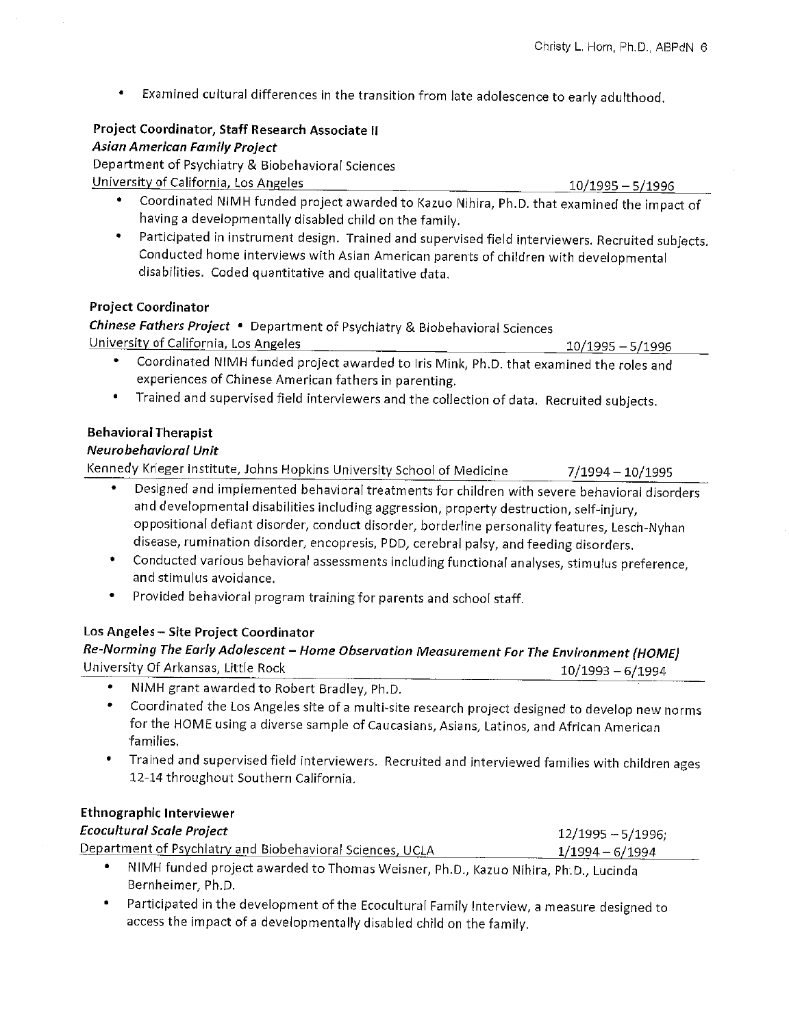$10/1995 - 5/1996$ 

 $\bullet$ Examined cultural differences in the transition from late adolescence to early adulthood.

#### Project Coordinator, Staff Research Associate II **Asian American Family Project**

Department of Psychiatry & Biobehavioral Sciences University of California, Los Angeles

- $10/1995 5/1996$ • Coordinated NIMH funded project awarded to Kazuo Nihira, Ph.D. that examined the impact of having a developmentally disabled child on the family.
- Participated in instrument design. Trained and supervised field interviewers. Recruited subjects. Conducted home interviews with Asian American parents of children with developmental disabilities. Coded quantitative and qualitative data.

## **Project Coordinator**

Chinese Fathers Project . Department of Psychiatry & Biobehavioral Sciences University of California, Los Angeles

- Coordinated NIMH funded project awarded to Iris Mink, Ph.D. that examined the roles and experiences of Chinese American fathers in parenting.
- Trained and supervised field interviewers and the collection of data. Recruited subjects.  $\bullet$

# **Behavioral Therapist**

## Neurobehavioral Unit

Kennedy Krieger Institute, Johns Hopkins University School of Medicine  $7/1994 - 10/1995$ 

- Designed and implemented behavioral treatments for children with severe behavioral disorders  $\bullet$ and developmental disabilities including aggression, property destruction, self-injury, oppositional defiant disorder, conduct disorder, borderline personality features, Lesch-Nyhan disease, rumination disorder, encopresis, PDD, cerebral palsy, and feeding disorders.
- Conducted various behavioral assessments including functional analyses, stimulus preference, and stimulus avoidance.
- Provided behavioral program training for parents and school staff.

# Los Angeles - Site Project Coordinator

#### Re-Norming The Early Adolescent - Home Observation Measurement For The Environment (HOME) University Of Arkansas, Little Rock  $10/1993 - 6/1994$

- NIMH grant awarded to Robert Bradley, Ph.D.
- Coordinated the Los Angeles site of a multi-site research project designed to develop new norms for the HOME using a diverse sample of Caucasians, Asians, Latinos, and African American families.
- . Trained and supervised field interviewers. Recruited and interviewed families with children ages 12-14 throughout Southern California.

# **Ethnographic Interviewer**

| <b>Ecocultural Scale Project</b>                          | 12/1995 - 5/1996; |
|-----------------------------------------------------------|-------------------|
| Department of Psychiatry and Biobehavioral Sciences, UCLA | 1/1994 – 6/1994   |

- . NIMH funded project awarded to Thomas Weisner, Ph.D., Kazuo Nihira, Ph.D., Lucinda Bernheimer, Ph.D.
- Participated in the development of the Ecocultural Family Interview, a measure designed to access the impact of a developmentally disabled child on the family.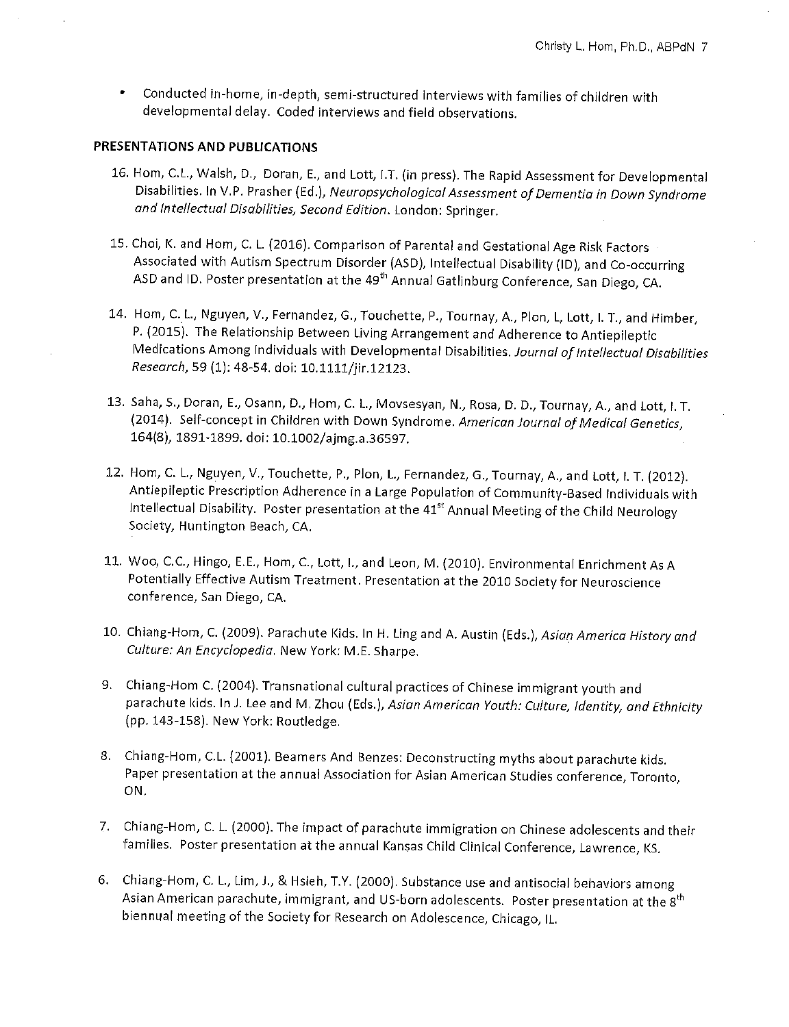$\bullet$ Conducted in-home, in-depth, semi-structured interviews with families of children with developmental delay. Coded interviews and field observations.

#### PRESENTATIONS AND PUBLICATIONS

- 16. Hom, C.L., Walsh, D., Doran, E., and Lott, I.T. (in press). The Rapid Assessment for Developmental Disabilities. In V.P. Prasher (Ed.), Neuropsychological Assessment of Dementia in Down Syndrome and Intellectual Disabilities, Second Edition. London: Springer.
- 15. Choi, K. and Hom, C. L. (2016). Comparison of Parental and Gestational Age Risk Factors Associated with Autism Spectrum Disorder (ASD), Intellectual Disability (ID), and Co-occurring ASD and ID. Poster presentation at the 49<sup>th</sup> Annual Gatlinburg Conference, San Diego, CA.
- 14. Hom, C. L., Nguyen, V., Fernandez, G., Touchette, P., Tournay, A., Plon, L, Lott, I. T., and Himber, P. (2015). The Relationship Between Living Arrangement and Adherence to Antiepileptic Medications Among Individuals with Developmental Disabilities. Journal of Intellectual Disabilities Research, 59 (1): 48-54. doi: 10.1111/jir.12123.
- 13. Saha, S., Doran, E., Osann, D., Hom, C. L., Movsesyan, N., Rosa, D. D., Tournay, A., and Lott, I. T. (2014). Self-concept in Children with Down Syndrome. American Journal of Medical Genetics, 164(8), 1891-1899. doi: 10.1002/ajmg.a.36597.
- 12. Hom, C. L., Nguyen, V., Touchette, P., Plon, L., Fernandez, G., Tournay, A., and Lott, I. T. (2012). Antiepileptic Prescription Adherence in a Large Population of Community-Based Individuals with Intellectual Disability. Poster presentation at the 41<sup>st</sup> Annual Meeting of the Child Neurology Society, Huntington Beach, CA.
- 11. Woo, C.C., Hingo, E.E., Hom, C., Lott, I., and Leon, M. (2010). Environmental Enrichment As A Potentially Effective Autism Treatment. Presentation at the 2010 Society for Neuroscience conference, San Diego, CA.
- 10. Chiang-Hom, C. (2009). Parachute Kids. In H. Ling and A. Austin (Eds.), Asian America History and Culture: An Encyclopedia. New York: M.E. Sharpe.
- 9. Chiang-Hom C. (2004). Transnational cultural practices of Chinese immigrant youth and parachute kids. In J. Lee and M. Zhou (Eds.), Asian American Youth: Culture, Identity, and Ethnicity (pp. 143-158). New York: Routledge.
- 8. Chiang-Hom, C.L. (2001). Beamers And Benzes: Deconstructing myths about parachute kids. Paper presentation at the annual Association for Asian American Studies conference, Toronto, ON.
- 7. Chiang-Hom, C. L. (2000). The impact of parachute immigration on Chinese adolescents and their families. Poster presentation at the annual Kansas Child Clinical Conference, Lawrence, KS.
- 6. Chiang-Hom, C. L., Lim, J., & Hsieh, T.Y. (2000). Substance use and antisocial behaviors among Asian American parachute, immigrant, and US-born adolescents. Poster presentation at the 8<sup>th</sup> biennual meeting of the Society for Research on Adolescence, Chicago, IL.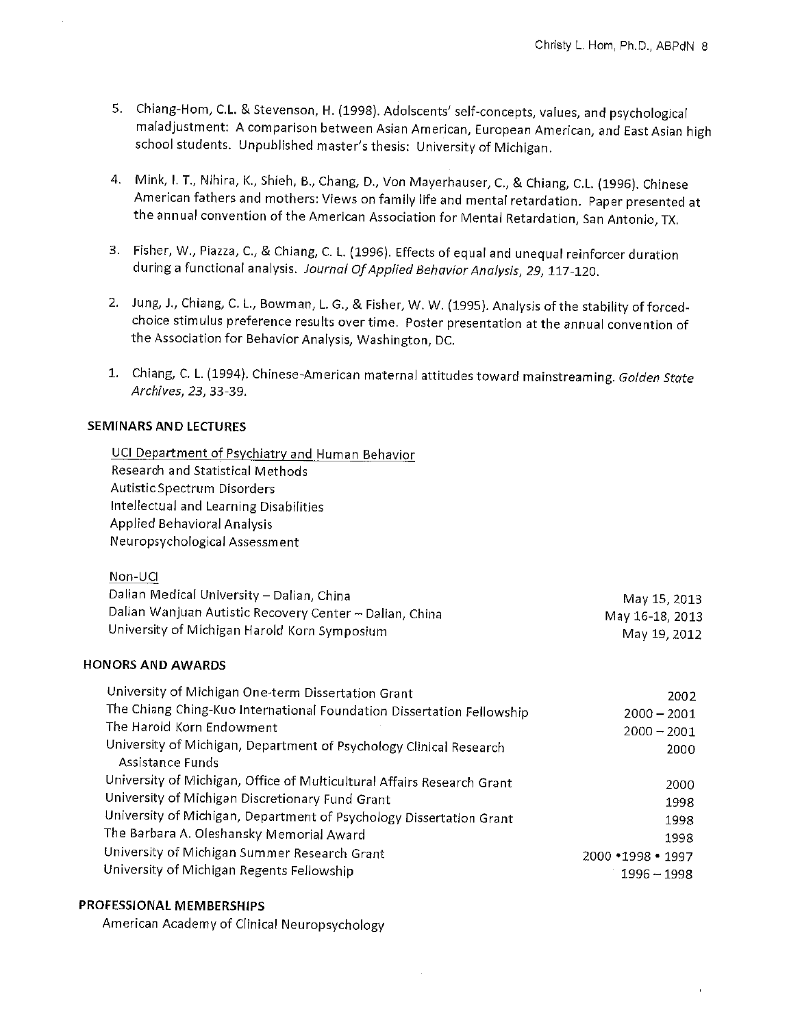- 5. Chiang-Hom, C.L. & Stevenson, H. (1998). Adolscents' self-concepts, values, and psychological maladjustment: A comparison between Asian American, European American, and East Asian high school students. Unpublished master's thesis: University of Michigan.
- 4. Mink, I. T., Nihira, K., Shieh, B., Chang, D., Von Mayerhauser, C., & Chiang, C.L. (1996). Chinese American fathers and mothers: Views on family life and mental retardation. Paper presented at the annual convention of the American Association for Mental Retardation, San Antonio, TX.
- 3. Fisher, W., Piazza, C., & Chiang, C. L. (1996). Effects of equal and unequal reinforcer duration during a functional analysis. Journal Of Applied Behavior Analysis, 29, 117-120.
- 2. Jung, J., Chiang, C. L., Bowman, L. G., & Fisher, W. W. (1995). Analysis of the stability of forcedchoice stimulus preference results over time. Poster presentation at the annual convention of the Association for Behavior Analysis, Washington, DC.
- 1. Chiang, C. L. (1994). Chinese-American maternal attitudes toward mainstreaming. Golden State Archives, 23, 33-39.

## **SEMINARS AND LECTURES**

UCI Department of Psychiatry and Human Behavior Research and Statistical Methods Autistic Spectrum Disorders Intellectual and Learning Disabilities **Applied Behavioral Analysis** Neuropsychological Assessment

| Non-UCL                                                 |                 |
|---------------------------------------------------------|-----------------|
| Dalian Medical University - Dalian, China               | May 15, 2013    |
| Dalian Wanjuan Autistic Recovery Center - Dalian, China | May 16-18, 2013 |
| University of Michigan Harold Korn Symposium            | May 19, 2012    |

#### **HONORS AND AWARDS**

| University of Michigan One-term Dissertation Grant                     | 2002                 |
|------------------------------------------------------------------------|----------------------|
| The Chiang Ching-Kuo International Foundation Dissertation Fellowship  | $2000 - 2001$        |
| The Harold Korn Endowment                                              | $2000 - 2001$        |
| University of Michigan, Department of Psychology Clinical Research     | 2000                 |
| Assistance Funds                                                       |                      |
| University of Michigan, Office of Multicultural Affairs Research Grant | 2000                 |
| University of Michigan Discretionary Fund Grant                        | 1998                 |
| University of Michigan, Department of Psychology Dissertation Grant    | 1998                 |
| The Barbara A. Oleshansky Memorial Award                               | 1998                 |
| University of Michigan Summer Research Grant                           | $2000 * 1998 * 1997$ |
| University of Michigan Regents Fellowship                              | 1996 – 1998          |

## PROFESSIONAL MEMBERSHIPS

American Academy of Clinical Neuropsychology